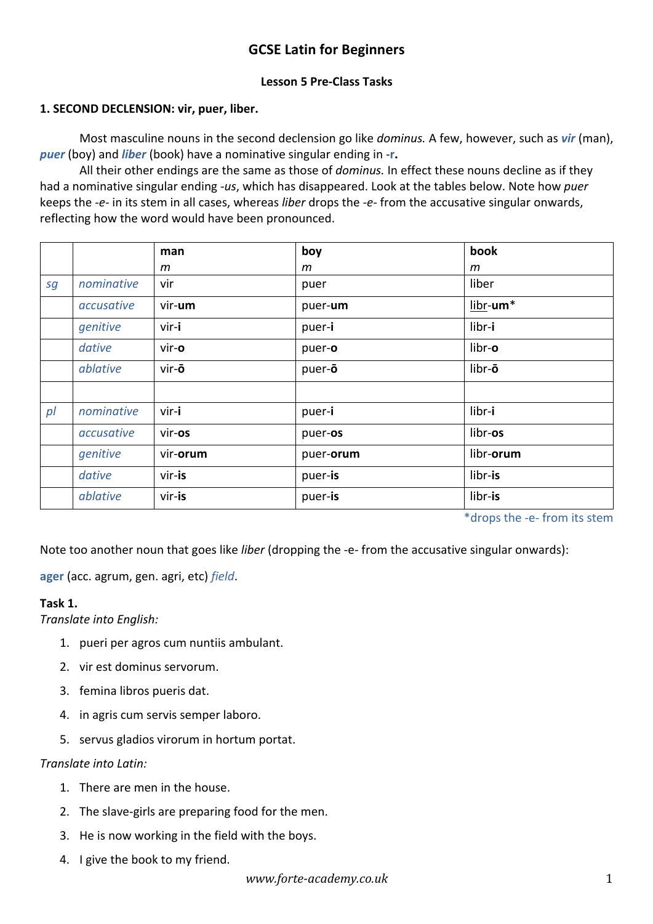# **GCSE Latin for Beginners**

## **Lesson 5 Pre-Class Tasks**

## **1. SECOND DECLENSION: vir, puer, liber.**

Most masculine nouns in the second declension go like *dominus.* A few, however, such as *vir* (man), *puer* (boy) and *liber* (book) have a nominative singular ending in -**r.**

All their other endings are the same as those of *dominus.* In effect these nouns decline as if they had a nominative singular ending *-us*, which has disappeared. Look at the tables below. Note how *puer*  keeps the *-e-* in its stem in all cases, whereas *liber* drops the *-e-* from the accusative singular onwards, reflecting how the word would have been pronounced.

|                |            | man      | boy       | book      |
|----------------|------------|----------|-----------|-----------|
|                |            | m        | m         | m         |
| sg             | nominative | vir      | puer      | liber     |
|                | accusative | vir-um   | puer-um   | libr-um*  |
|                | genitive   | vir-i    | puer-i    | libr-i    |
|                | dative     | vir-o    | puer-o    | libr-o    |
|                | ablative   | vir-ō    | puer-o    | libr-ō    |
|                |            |          |           |           |
| p <sub>l</sub> | nominative | vir-i    | puer-i    | libr-i    |
|                | accusative | vir-os   | puer-os   | libr-os   |
|                | genitive   | vir-orum | puer-orum | libr-orum |
|                | dative     | vir-is   | puer-is   | libr-is   |
|                | ablative   | vir-is   | puer-is   | libr-is   |

\*drops the -e- from its stem

Note too another noun that goes like *liber* (dropping the -e- from the accusative singular onwards):

**ager** (acc. agrum, gen. agri, etc) *field*.

#### **Task 1.**

*Translate into English:*

- 1. pueri per agros cum nuntiis ambulant.
- 2. vir est dominus servorum.
- 3. femina libros pueris dat.
- 4. in agris cum servis semper laboro.
- 5. servus gladios virorum in hortum portat.

#### *Translate into Latin:*

- 1. There are men in the house.
- 2. The slave-girls are preparing food for the men.
- 3. He is now working in the field with the boys.
- 4. I give the book to my friend.